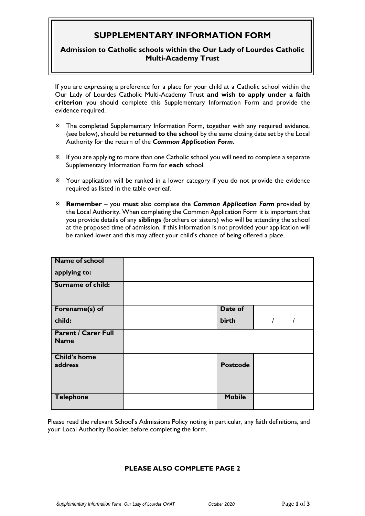## **SUPPLEMENTARY INFORMATION FORM**

## **Admission to Catholic schools within the Our Lady of Lourdes Catholic Multi-Academy Trust**

If you are expressing a preference for a place for your child at a Catholic school within the Our Lady of Lourdes Catholic Multi-Academy Trust **and wish to apply under a faith criterion** you should complete this Supplementary Information Form and provide the evidence required.

- The completed Supplementary Information Form, together with any required evidence, (see below), should be **returned to the school** by the same closing date set by the Local Authority for the return of the *Common Application Form***.**
- If you are applying to more than one Catholic school you will need to complete a separate Supplementary Information Form for **each** school.
- Your application will be ranked in a lower category if you do not provide the evidence required as listed in the table overleaf.
- **Remember** you **must** also complete the *Common Application Form* provided by the Local Authority. When completing the Common Application Form it is important that you provide details of any **siblings** (brothers or sisters) who will be attending the school at the proposed time of admission. If this information is not provided your application will be ranked lower and this may affect your child's chance of being offered a place.

| <b>Name of school</b>                     |                 |  |  |
|-------------------------------------------|-----------------|--|--|
| applying to:                              |                 |  |  |
| Surname of child:                         |                 |  |  |
| Forename(s) of                            | Date of         |  |  |
| child:                                    | birth           |  |  |
| <b>Parent / Carer Full</b><br><b>Name</b> |                 |  |  |
| <b>Child's home</b><br>address            | <b>Postcode</b> |  |  |
| <b>Telephone</b>                          | <b>Mobile</b>   |  |  |

Please read the relevant School's Admissions Policy noting in particular, any faith definitions, and your Local Authority Booklet before completing the form.

## **PLEASE ALSO COMPLETE PAGE 2**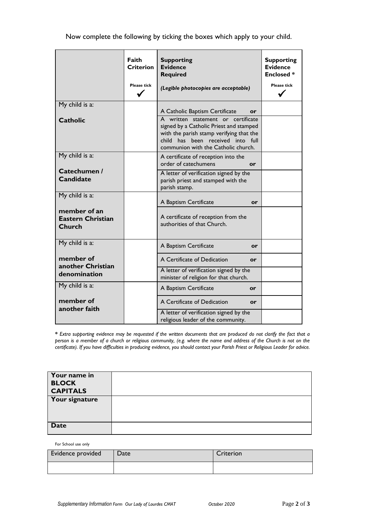Now complete the following by ticking the boxes which apply to your child.

|                                                    | Faith<br><b>Criterion</b><br><b>Please tick</b> | <b>Supporting</b><br><b>Evidence</b><br><b>Required</b><br>(Legible photocopies are acceptable)                                                                                                       | <b>Supporting</b><br><b>Evidence</b><br><b>Enclosed*</b><br><b>Please tick</b> |
|----------------------------------------------------|-------------------------------------------------|-------------------------------------------------------------------------------------------------------------------------------------------------------------------------------------------------------|--------------------------------------------------------------------------------|
| My child is a:                                     |                                                 | A Catholic Baptism Certificate<br>or                                                                                                                                                                  |                                                                                |
| <b>Catholic</b>                                    |                                                 | A written statement or certificate<br>signed by a Catholic Priest and stamped<br>with the parish stamp verifying that the<br>child has been received into full<br>communion with the Catholic church. |                                                                                |
| My child is a:                                     |                                                 | A certificate of reception into the<br>order of catechumens<br>or                                                                                                                                     |                                                                                |
| Catechumen /<br><b>Candidate</b>                   |                                                 | A letter of verification signed by the<br>parish priest and stamped with the<br>parish stamp.                                                                                                         |                                                                                |
| My child is a:                                     |                                                 | A Baptism Certificate<br>or                                                                                                                                                                           |                                                                                |
| member of an<br><b>Eastern Christian</b><br>Church |                                                 | A certificate of reception from the<br>authorities of that Church.                                                                                                                                    |                                                                                |
| My child is a:                                     |                                                 | A Baptism Certificate<br>or                                                                                                                                                                           |                                                                                |
| member of<br>another Christian                     |                                                 | A Certificate of Dedication<br>or                                                                                                                                                                     |                                                                                |
| denomination                                       |                                                 | A letter of verification signed by the<br>minister of religion for that church.                                                                                                                       |                                                                                |
| My child is a:                                     |                                                 | A Baptism Certificate<br>or                                                                                                                                                                           |                                                                                |
| member of<br>another faith                         |                                                 | A Certificate of Dedication<br>or                                                                                                                                                                     |                                                                                |
|                                                    |                                                 | A letter of verification signed by the<br>religious leader of the community.                                                                                                                          |                                                                                |

**\*** *Extra supporting evidence may be requested if the written documents that are produced do not clarify the fact that a person is a member of a church or religious community, (e.g. where the name and address of the Church is not on the certificate). If you have difficulties in producing evidence, you should contact your Parish Priest or Religious Leader for advice.*

| Your name in<br><b>BLOCK</b><br><b>CAPITALS</b> |  |
|-------------------------------------------------|--|
| Your signature                                  |  |
| <b>Date</b>                                     |  |

For School use only

| Evidence provided | Date | Criterion |
|-------------------|------|-----------|
|                   |      |           |